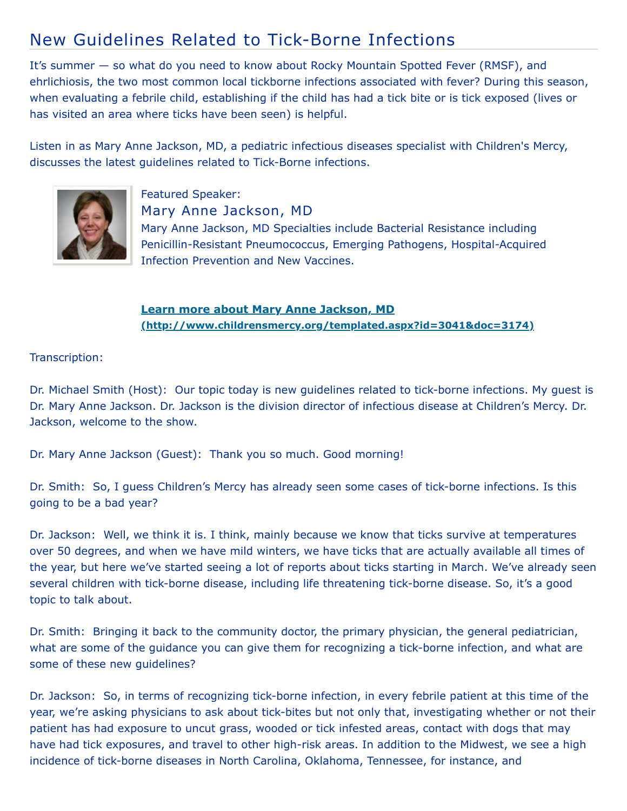## New Guidelines Related to Tick-Borne Infections

It's summer — so what do you need to know about Rocky Mountain Spotted Fever (RMSF), and ehrlichiosis, the two most common local tickborne infections associated with fever? During this season, when evaluating a febrile child, establishing if the child has had a tick bite or is tick exposed (lives or has visited an area where ticks have been seen) is helpful.

Listen in as Mary Anne Jackson, MD, a pediatric infectious diseases specialist with Children's Mercy, discusses the latest guidelines related to Tick-Borne infections.



Featured Speaker: Mary Anne Jackson, MD Mary Anne Jackson, MD Specialties include Bacterial Resistance including Penicillin-Resistant Pneumococcus, Emerging Pathogens, Hospital-Acquired Infection Prevention and New Vaccines.

**Learn more about Mary Anne Jackson, MD [\(http://www.childrensmercy.org/templated.aspx?id=3041&doc=3174\)](http://www.childrensmercy.org/templated.aspx?id=3041&doc=3174)**

## Transcription:

Dr. Michael Smith (Host): Our topic today is new guidelines related to tick-borne infections. My guest is Dr. Mary Anne Jackson. Dr. Jackson is the division director of infectious disease at Children's Mercy. Dr. Jackson, welcome to the show.

Dr. Mary Anne Jackson (Guest): Thank you so much. Good morning!

Dr. Smith: So, I guess Children's Mercy has already seen some cases of tick-borne infections. Is this going to be a bad year?

Dr. Jackson: Well, we think it is. I think, mainly because we know that ticks survive at temperatures over 50 degrees, and when we have mild winters, we have ticks that are actually available all times of the year, but here we've started seeing a lot of reports about ticks starting in March. We've already seen several children with tick-borne disease, including life threatening tick-borne disease. So, it's a good topic to talk about.

Dr. Smith: Bringing it back to the community doctor, the primary physician, the general pediatrician, what are some of the guidance you can give them for recognizing a tick-borne infection, and what are some of these new guidelines?

Dr. Jackson: So, in terms of recognizing tick-borne infection, in every febrile patient at this time of the year, we're asking physicians to ask about tick-bites but not only that, investigating whether or not their patient has had exposure to uncut grass, wooded or tick infested areas, contact with dogs that may have had tick exposures, and travel to other high-risk areas. In addition to the Midwest, we see a high incidence of tick-borne diseases in North Carolina, Oklahoma, Tennessee, for instance, and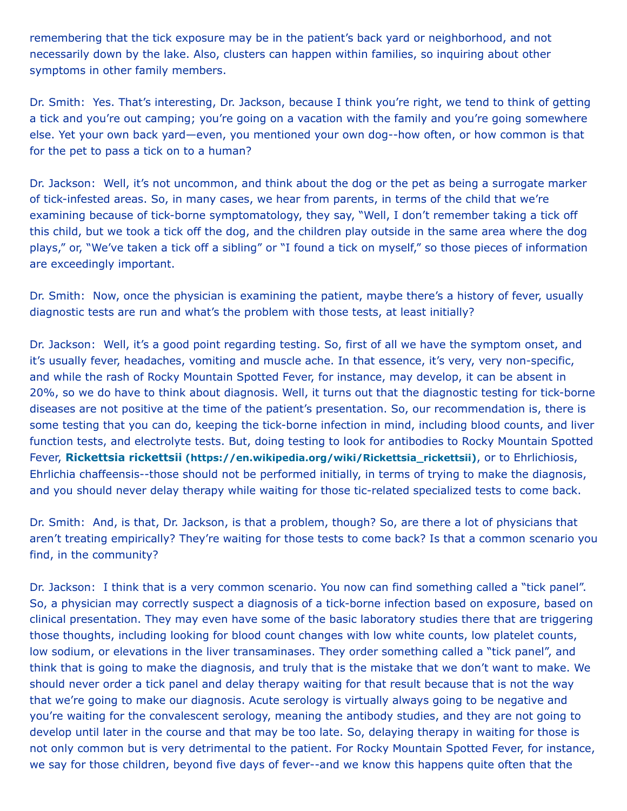remembering that the tick exposure may be in the patient's back yard or neighborhood, and not necessarily down by the lake. Also, clusters can happen within families, so inquiring about other symptoms in other family members.

Dr. Smith: Yes. That's interesting, Dr. Jackson, because I think you're right, we tend to think of getting a tick and you're out camping; you're going on a vacation with the family and you're going somewhere else. Yet your own back yard—even, you mentioned your own dog--how often, or how common is that for the pet to pass a tick on to a human?

Dr. Jackson: Well, it's not uncommon, and think about the dog or the pet as being a surrogate marker of tick-infested areas. So, in many cases, we hear from parents, in terms of the child that we're examining because of tick-borne symptomatology, they say, "Well, I don't remember taking a tick off this child, but we took a tick off the dog, and the children play outside in the same area where the dog plays," or, "We've taken a tick off a sibling" or "I found a tick on myself," so those pieces of information are exceedingly important.

Dr. Smith: Now, once the physician is examining the patient, maybe there's a history of fever, usually diagnostic tests are run and what's the problem with those tests, at least initially?

Dr. Jackson: Well, it's a good point regarding testing. So, first of all we have the symptom onset, and it's usually fever, headaches, vomiting and muscle ache. In that essence, it's very, very non-specific, and while the rash of Rocky Mountain Spotted Fever, for instance, may develop, it can be absent in 20%, so we do have to think about diagnosis. Well, it turns out that the diagnostic testing for tick-borne diseases are not positive at the time of the patient's presentation. So, our recommendation is, there is some testing that you can do, keeping the tick-borne infection in mind, including blood counts, and liver function tests, and electrolyte tests. But, doing testing to look for antibodies to Rocky Mountain Spotted Fever, **Rickettsia rickettsii [\(https://en.wikipedia.org/wiki/Rickettsia\\_rickettsii\)](https://en.wikipedia.org/wiki/Rickettsia_rickettsii)**, or to Ehrlichiosis, Ehrlichia chaffeensis--those should not be performed initially, in terms of trying to make the diagnosis, and you should never delay therapy while waiting for those tic-related specialized tests to come back.

Dr. Smith: And, is that, Dr. Jackson, is that a problem, though? So, are there a lot of physicians that aren't treating empirically? They're waiting for those tests to come back? Is that a common scenario you find, in the community?

Dr. Jackson: I think that is a very common scenario. You now can find something called a "tick panel". So, a physician may correctly suspect a diagnosis of a tick-borne infection based on exposure, based on clinical presentation. They may even have some of the basic laboratory studies there that are triggering those thoughts, including looking for blood count changes with low white counts, low platelet counts, low sodium, or elevations in the liver transaminases. They order something called a "tick panel", and think that is going to make the diagnosis, and truly that is the mistake that we don't want to make. We should never order a tick panel and delay therapy waiting for that result because that is not the way that we're going to make our diagnosis. Acute serology is virtually always going to be negative and you're waiting for the convalescent serology, meaning the antibody studies, and they are not going to develop until later in the course and that may be too late. So, delaying therapy in waiting for those is not only common but is very detrimental to the patient. For Rocky Mountain Spotted Fever, for instance, we say for those children, beyond five days of fever--and we know this happens quite often that the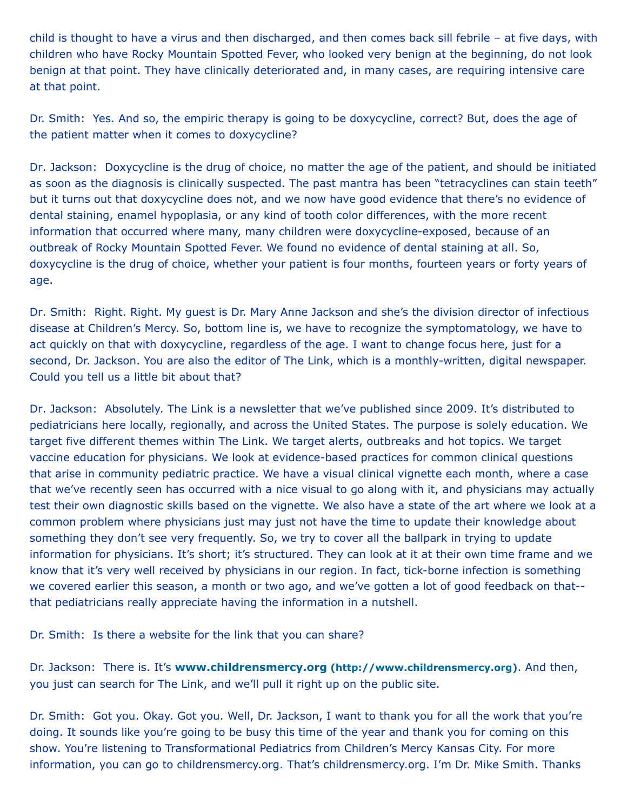child is thought to have a virus and then discharged, and then comes back sill febrile – at five days, with children who have Rocky Mountain Spotted Fever, who looked very benign at the beginning, do not look benign at that point. They have clinically deteriorated and, in many cases, are requiring intensive care at that point.

Dr. Smith: Yes. And so, the empiric therapy is going to be doxycycline, correct? But, does the age of the patient matter when it comes to doxycycline?

Dr. Jackson: Doxycycline is the drug of choice, no matter the age of the patient, and should be initiated as soon as the diagnosis is clinically suspected. The past mantra has been "tetracyclines can stain teeth" but it turns out that doxycycline does not, and we now have good evidence that there's no evidence of dental staining, enamel hypoplasia, or any kind of tooth color differences, with the more recent information that occurred where many, many children were doxycycline-exposed, because of an outbreak of Rocky Mountain Spotted Fever. We found no evidence of dental staining at all. So, doxycycline is the drug of choice, whether your patient is four months, fourteen years or forty years of age.

Dr. Smith: Right. Right. My guest is Dr. Mary Anne Jackson and she's the division director of infectious disease at Children's Mercy. So, bottom line is, we have to recognize the symptomatology, we have to act quickly on that with doxycycline, regardless of the age. I want to change focus here, just for a second, Dr. Jackson. You are also the editor of The Link, which is a monthly-written, digital newspaper. Could you tell us a little bit about that?

Dr. Jackson: Absolutely. The Link is a newsletter that we've published since 2009. It's distributed to pediatricians here locally, regionally, and across the United States. The purpose is solely education. We target five different themes within The Link. We target alerts, outbreaks and hot topics. We target vaccine education for physicians. We look at evidence-based practices for common clinical questions that arise in community pediatric practice. We have a visual clinical vignette each month, where a case that we've recently seen has occurred with a nice visual to go along with it, and physicians may actually test their own diagnostic skills based on the vignette. We also have a state of the art where we look at a common problem where physicians just may just not have the time to update their knowledge about something they don't see very frequently. So, we try to cover all the ballpark in trying to update information for physicians. It's short; it's structured. They can look at it at their own time frame and we know that it's very well received by physicians in our region. In fact, tick-borne infection is something we covered earlier this season, a month or two ago, and we've gotten a lot of good feedback on that- that pediatricians really appreciate having the information in a nutshell.

Dr. Smith: Is there a website for the link that you can share?

Dr. Jackson: There is. It's **www.childrensmercy.org [\(http://www.childrensmercy.org\)](http://www.childrensmercy.org/)**. And then, you just can search for The Link, and we'll pull it right up on the public site.

Dr. Smith: Got you. Okay. Got you. Well, Dr. Jackson, I want to thank you for all the work that you're doing. It sounds like you're going to be busy this time of the year and thank you for coming on this show. You're listening to Transformational Pediatrics from Children's Mercy Kansas City. For more information, you can go to childrensmercy.org. That's childrensmercy.org. I'm Dr. Mike Smith. Thanks